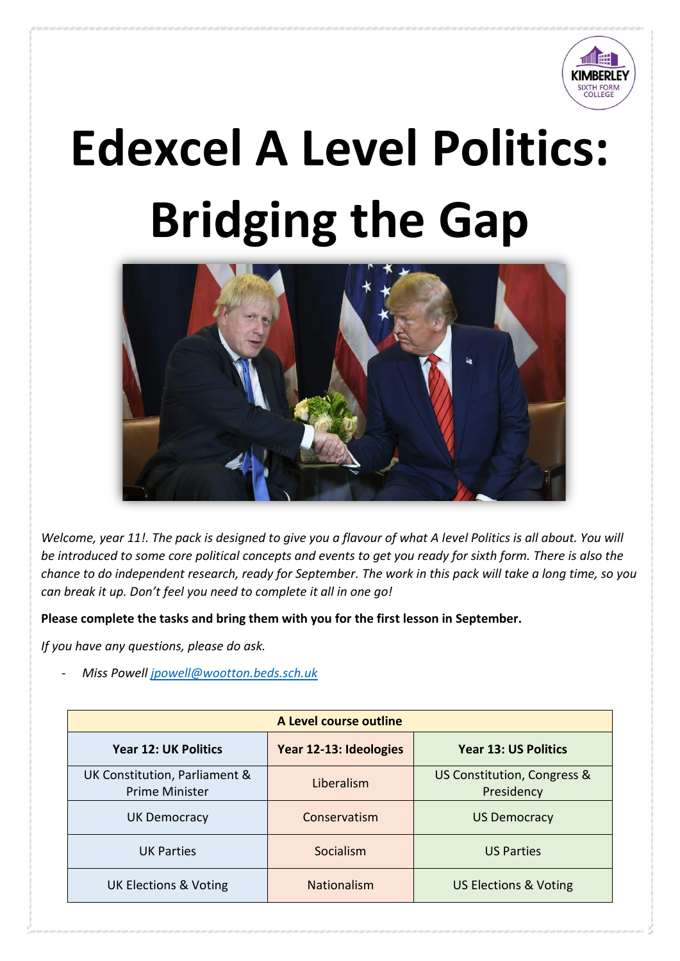

# **Edexcel A Level Politics: Bridging the Gap**



*Welcome, year 11!. The pack is designed to give you a flavour of what A level Politics is all about. You will be introduced to some core political concepts and events to get you ready for sixth form. There is also the chance to do independent research, ready for September. The work in this pack will take a long time, so you can break it up. Don't feel you need to complete it all in one go!*

**Please complete the tasks and bring them with you for the first lesson in September.** 

*If you have any questions, please do ask.* 

- *Miss Powell [jpowell@wootton.beds.sch.uk](mailto:jpowell@wootton.beds.sch.uk)*

| A Level course outline                                 |                        |                                           |  |  |  |
|--------------------------------------------------------|------------------------|-------------------------------------------|--|--|--|
| <b>Year 12: UK Politics</b>                            | Year 12-13: Ideologies | <b>Year 13: US Politics</b>               |  |  |  |
| UK Constitution, Parliament &<br><b>Prime Minister</b> | Liberalism             | US Constitution, Congress &<br>Presidency |  |  |  |
| <b>UK Democracy</b>                                    | Conservatism           | <b>US Democracy</b>                       |  |  |  |
| <b>UK Parties</b>                                      | Socialism              | <b>US Parties</b>                         |  |  |  |
| <b>UK Elections &amp; Voting</b>                       | <b>Nationalism</b>     | <b>US Elections &amp; Voting</b>          |  |  |  |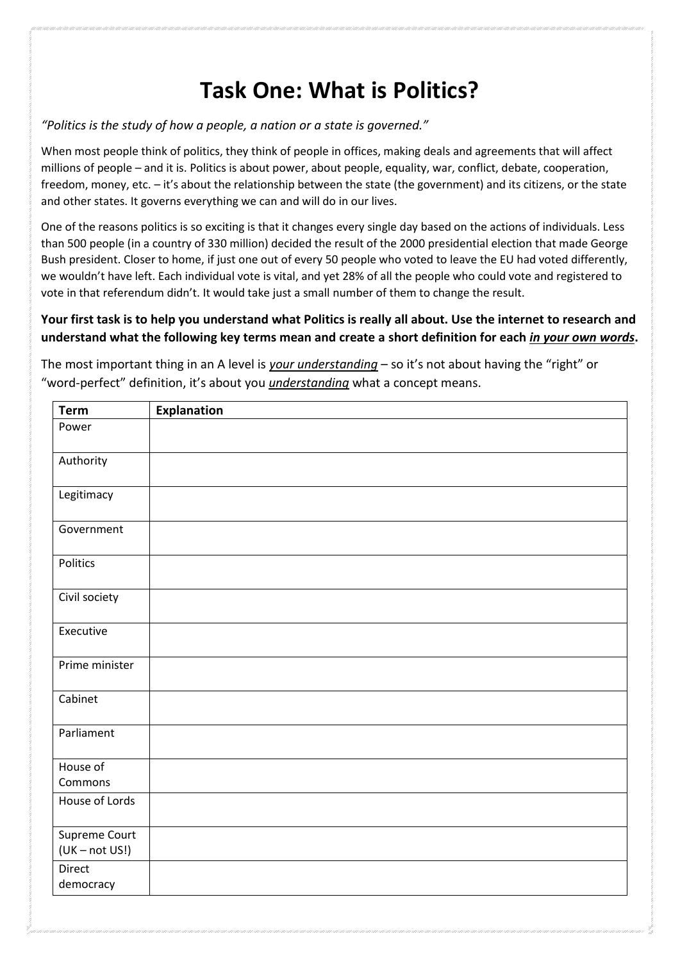## **Task One: What is Politics?**

*"Politics is the study of how a people, a nation or a state is governed."*

When most people think of politics, they think of people in offices, making deals and agreements that will affect millions of people – and it is. Politics is about power, about people, equality, war, conflict, debate, cooperation, freedom, money, etc. – it's about the relationship between the state (the government) and its citizens, or the state and other states. It governs everything we can and will do in our lives.

One of the reasons politics is so exciting is that it changes every single day based on the actions of individuals. Less than 500 people (in a country of 330 million) decided the result of the 2000 presidential election that made George Bush president. Closer to home, if just one out of every 50 people who voted to leave the EU had voted differently, we wouldn't have left. Each individual vote is vital, and yet 28% of all the people who could vote and registered to vote in that referendum didn't. It would take just a small number of them to change the result.

#### **Your first task is to help you understand what Politics is really all about. Use the internet to research and understand what the following key terms mean and create a short definition for each** *in your own words***.**

| The most important thing in an A level is <i>your understanding</i> – so it's not about having the "right" or |  |
|---------------------------------------------------------------------------------------------------------------|--|
| "word-perfect" definition, it's about you <i>understanding</i> what a concept means.                          |  |
|                                                                                                               |  |

| <b>Term</b>                       | <b>Explanation</b> |
|-----------------------------------|--------------------|
| Power                             |                    |
| Authority                         |                    |
| Legitimacy                        |                    |
| Government                        |                    |
| Politics                          |                    |
| Civil society                     |                    |
| Executive                         |                    |
| Prime minister                    |                    |
| Cabinet                           |                    |
| Parliament                        |                    |
| House of<br>Commons               |                    |
| House of Lords                    |                    |
| Supreme Court<br>$(UK - not US!)$ |                    |
| Direct<br>democracy               |                    |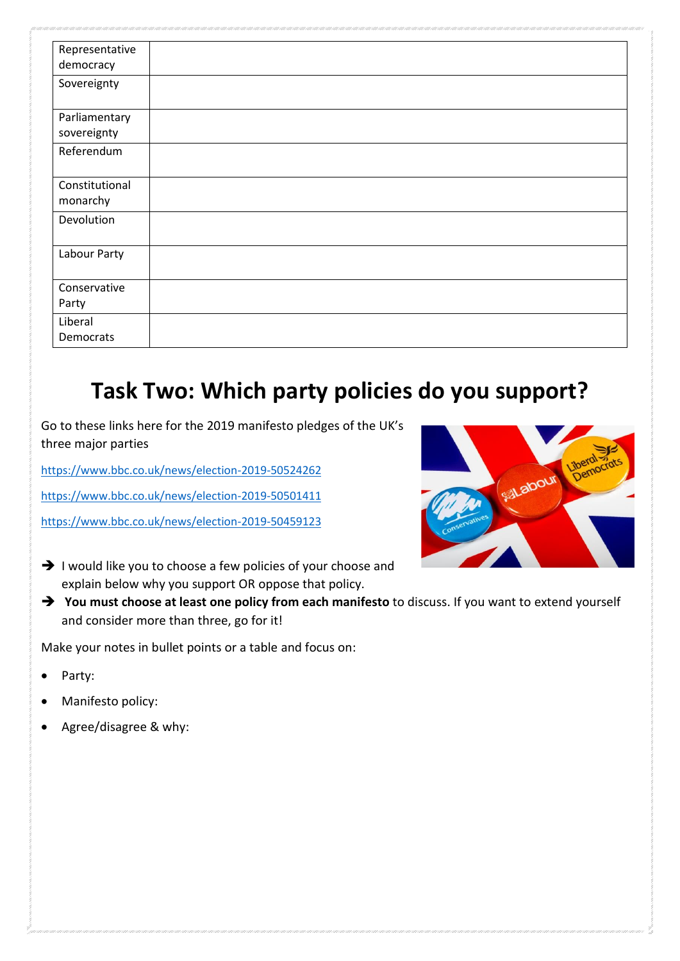| Representative |  |
|----------------|--|
| democracy      |  |
| Sovereignty    |  |
|                |  |
| Parliamentary  |  |
| sovereignty    |  |
| Referendum     |  |
|                |  |
| Constitutional |  |
| monarchy       |  |
| Devolution     |  |
|                |  |
| Labour Party   |  |
|                |  |
| Conservative   |  |
| Party          |  |
| Liberal        |  |
| Democrats      |  |

#### **Task Two: Which party policies do you support?**

Go to these links here for the 2019 manifesto pledges of the UK's three major parties

<https://www.bbc.co.uk/news/election-2019-50524262>

<https://www.bbc.co.uk/news/election-2019-50501411>

<https://www.bbc.co.uk/news/election-2019-50459123>

- ➔ I would like you to choose a few policies of your choose and explain below why you support OR oppose that policy.
- ➔ **You must choose at least one policy from each manifesto** to discuss. If you want to extend yourself and consider more than three, go for it!

Make your notes in bullet points or a table and focus on:

- Party:
- Manifesto policy:
- Agree/disagree & why: